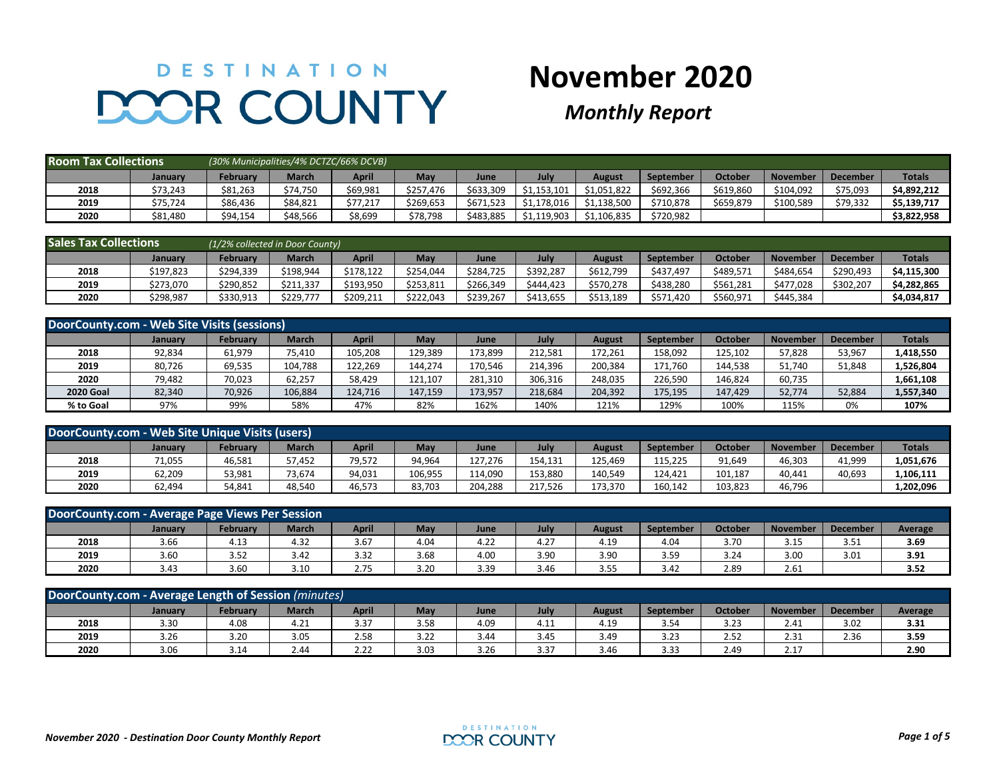## DESTINATION DOOR COUNTY

## **November 2020**

## *Monthly Report*

| <b>Room Tax Collections</b> |          | (30% Municipalities/4% DCTZC/66% DCVB) |              |          |           |           |             |             |           |           |                 |                 |               |
|-----------------------------|----------|----------------------------------------|--------------|----------|-----------|-----------|-------------|-------------|-----------|-----------|-----------------|-----------------|---------------|
|                             | January  | Februarv                               | <b>March</b> | April    | May       | June      | July        | August      | September | October   | <b>November</b> | <b>December</b> | <b>Totals</b> |
| 2018                        | \$73,243 | \$81,263                               | \$74.750     | \$69,981 | \$257.476 | \$633.309 | \$1.153.101 | \$1.051.822 | \$692.366 | \$619,860 | \$104.092       | \$75,093        | \$4.892.212   |
| 2019                        | \$75,724 | \$86,436                               | \$84,821     | \$77,217 | \$269,653 | \$671.523 | \$1,178,016 | \$1,138,500 | \$710,878 | \$659,879 | \$100,589       | \$79,332        | \$5,139,717   |
| 2020                        | \$81,480 | \$94,154                               | \$48,566     | \$8,699  | \$78,798  | \$483.885 | \$1.119.903 | \$1,106,835 | \$720,982 |           |                 |                 | \$3,822,958   |

| <b>Sales Tax Collections</b> |           | (1/2% collected in Door County) |              |           |            |           |           |           |           |           |                 |                 |               |
|------------------------------|-----------|---------------------------------|--------------|-----------|------------|-----------|-----------|-----------|-----------|-----------|-----------------|-----------------|---------------|
|                              | January   | February                        | <b>March</b> | April     | <b>May</b> | June      | July      | August    | September | October   | <b>November</b> | <b>December</b> | <b>Totals</b> |
| 2018                         | \$197,823 | \$294,339                       | \$198,944    | \$178,122 | \$254,044  | \$284.725 | \$392,287 | \$612,799 | \$437.497 | \$489,57  | \$484.654       | \$290,493       | \$4,115,300   |
| 2019                         | \$273,070 | \$290,852                       | \$211.337    | \$193,950 | \$253,811  | \$266.349 | \$444.423 | \$570.278 | \$438,280 | \$561,281 | \$477.028       | \$302,207       | \$4,282,865   |
| 2020                         | \$298,987 | \$330.913                       | \$229.777    | \$209.211 | \$222.043  | \$239.267 | \$413.655 | \$513.189 | \$571.420 | \$560,971 | \$445.384       |                 | \$4,034,817   |

| DoorCounty.com - Web Site Visits (sessions) |         |                 |              |              |         |         |         |               |                  |                |                 |                 |               |
|---------------------------------------------|---------|-----------------|--------------|--------------|---------|---------|---------|---------------|------------------|----------------|-----------------|-----------------|---------------|
|                                             | January | <b>February</b> | <b>March</b> | <b>April</b> | May     | June    | July    | <b>August</b> | <b>September</b> | <b>October</b> | <b>November</b> | <b>December</b> | <b>Totals</b> |
| 2018                                        | 92,834  | 61,979          | 75,410       | 105,208      | 129,389 | 173,899 | 212,581 | 172,261       | 158,092          | 125,102        | 57,828          | 53,967          | 1,418,550     |
| 2019                                        | 80,726  | 69,535          | 104,788      | 122,269      | 144,274 | 170,546 | 214,396 | 200,384       | 171,760          | 144,538        | 51,740          | 51,848          | 1,526,804     |
| 2020                                        | 79,482  | 70,023          | 62,257       | 58,429       | 121,107 | 281,310 | 306,316 | 248,035       | 226,590          | 146,824        | 60,735          |                 | 1,661,108     |
| <b>2020 Goal</b>                            | 82,340  | 70,926          | 106,884      | 124,716      | 147,159 | 173,957 | 218,684 | 204,392       | 175,195          | 147,429        | 52,774          | 52,884          | 1,557,340     |
| % to Goal                                   | 97%     | 99%             | 58%          | 47%          | 82%     | 162%    | 140%    | 121%          | 129%             | 100%           | 115%            | 0%              | 107%          |

| DoorCounty.com - Web Site Unique Visits (users)                                                                                                                            |        |        |        |        |         |         |         |         |         |         |        |        |           |
|----------------------------------------------------------------------------------------------------------------------------------------------------------------------------|--------|--------|--------|--------|---------|---------|---------|---------|---------|---------|--------|--------|-----------|
| <b>Totals</b><br><b>April</b><br><b>February</b><br><b>March</b><br>July<br>October<br>Mav<br><b>November</b><br><b>December</b><br>August<br>September<br>June<br>Januarv |        |        |        |        |         |         |         |         |         |         |        |        |           |
| 2018                                                                                                                                                                       | 71,055 | 46,581 | 57.452 | 79.572 | 94,964  | 127.276 | 154,131 | 125.469 | 115.225 | 91,649  | 46,303 | 41,999 | 1,051,676 |
| 2019                                                                                                                                                                       | 62,209 | 53,981 | 73,674 | 94,031 | 106,955 | 114.090 | 153,880 | 140,549 | 124,421 | 101,187 | 40,441 | 40,693 | 1,106,111 |
| 2020                                                                                                                                                                       | 62.494 | 54,841 | 48,540 | 46.573 | 83,703  | 204.288 | 217.526 | 173.370 | 160.142 | 103,823 | 46,796 |        | 1,202,096 |

| DoorCounty.com - Average Page Views Per Session                                                                                                                                           |      |      |      |      |      |      |      |      |      |      |      |      |      |  |
|-------------------------------------------------------------------------------------------------------------------------------------------------------------------------------------------|------|------|------|------|------|------|------|------|------|------|------|------|------|--|
| <b>March</b><br><b>April</b><br><b>October</b><br>February<br>July<br><b>May</b><br><b>November</b><br><b>December</b><br><b>September</b><br>Average<br>June<br>August<br><b>January</b> |      |      |      |      |      |      |      |      |      |      |      |      |      |  |
| 2018                                                                                                                                                                                      | 3.66 | 4.13 | 4.32 | 3.67 | 4.04 | 4.22 | 4.27 | 4.19 | 4.04 | 3.70 | 3.15 | 3.51 | 3.69 |  |
| 2019                                                                                                                                                                                      | 3.60 | 3.52 | 3.42 | 3.32 | 3.68 | 4.00 | 3.90 | 3.90 | 3.59 | 3.24 | 3.00 | 3.01 | 3.91 |  |
| 2020                                                                                                                                                                                      | 3.43 | 3.60 | 3.10 | 2.75 | 3.20 | 3.39 | 3.46 | 3.55 | 3.42 | 2.89 | 2.61 |      | 3.52 |  |

| DoorCounty.com - Average Length of Session (minutes)                                                                                                                                      |      |      |      |      |      |      |      |      |      |      |      |      |      |  |
|-------------------------------------------------------------------------------------------------------------------------------------------------------------------------------------------|------|------|------|------|------|------|------|------|------|------|------|------|------|--|
| <b>March</b><br><b>April</b><br>May<br><b>July</b><br>October<br><b>November</b><br><b>February</b><br><b>December</b><br><b>September</b><br>June<br>Average<br><b>August</b><br>January |      |      |      |      |      |      |      |      |      |      |      |      |      |  |
| 2018                                                                                                                                                                                      | 3.30 | 4.08 | 4.21 | 3.37 | 3.58 | 4.09 | 4.11 | 4.19 | 3.54 | 3.23 | 2.41 | 3.02 | 3.31 |  |
| 2019                                                                                                                                                                                      | 3.26 | 3.20 | 3.05 | 2.58 | 3.22 | 3.44 | 3.45 | 3.49 | 3.23 | 2.52 | 2.31 | 2.36 | 3.59 |  |
| 2020                                                                                                                                                                                      | 3.06 | 3.14 | 2.44 | 2.22 | 3.03 | 3.26 | 3.37 | 3.46 | 3.33 | 2.49 | 2.17 |      | 2.90 |  |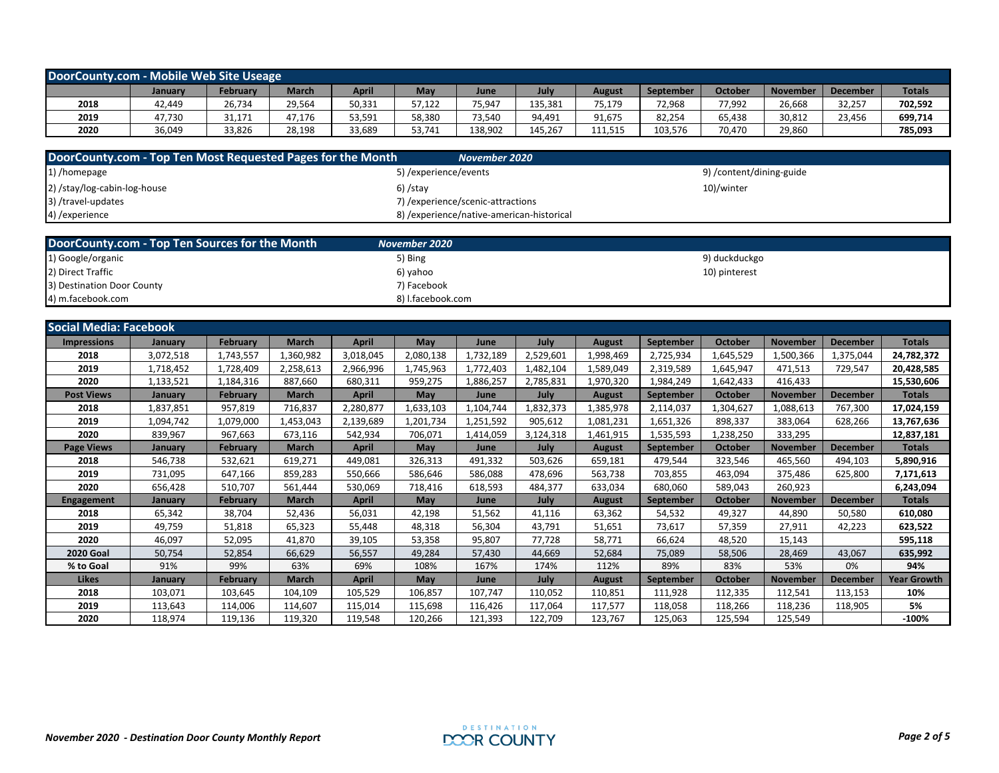| DoorCounty.com - Mobile Web Site Useage |         |          |              |        |        |         |         |         |           |                |                 |                 |               |
|-----------------------------------------|---------|----------|--------------|--------|--------|---------|---------|---------|-----------|----------------|-----------------|-----------------|---------------|
|                                         | January | February | <b>March</b> | April  | May    | June    | July    | August  | September | <b>October</b> | <b>November</b> | <b>December</b> | <b>Totals</b> |
| 2018                                    | 42,449  | 26,734   | 29.564       | 50,331 | 57,122 | 75,947  | 135,381 | 75,179  | 72,968    | 77,992         | 26,668          | 32,257          | 702,592       |
| 2019                                    | 47,730  | 31,171   | 47,176       | 53,591 | 58,380 | 73,540  | 94,491  | 91,675  | 82,254    | 65,438         | 30,812          | 23,456          | 699,714       |
| 2020                                    | 36,049  | 33,826   | 28,198       | 33,689 | 53,741 | 138,902 | 145,267 | 111,515 | 103,576   | 70,470         | 29,860          |                 | 785,093       |

| DoorCounty.com - Top Ten Most Requested Pages for the Month | November 2020                              |                         |
|-------------------------------------------------------------|--------------------------------------------|-------------------------|
| 1) /homepage                                                | 5) / experience/events                     | 9)/content/dining-guide |
| 2) /stay/log-cabin-log-house                                | 6) /stav                                   | 10)/winter              |
| 3) /travel-updates                                          | 7) / experience/scenic-attractions         |                         |
| 4) /experience                                              | 8) / experience/native-american-historical |                         |

| DoorCounty.com - Top Ten Sources for the Month | November 2020 l   |               |
|------------------------------------------------|-------------------|---------------|
| 1) Google/organic                              | 5) Bing           | 9) duckduckgo |
| 2) Direct Traffic                              | 6) yahoo          | 10) pinterest |
| 3) Destination Door County                     | 7) Facebook       |               |
| 4) m.facebook.com                              | 8) I.facebook.com |               |

| Social Media: Facebook |                |                 |              |              |           |           |           |               |                  |                |                 |                 |                    |
|------------------------|----------------|-----------------|--------------|--------------|-----------|-----------|-----------|---------------|------------------|----------------|-----------------|-----------------|--------------------|
| <b>Impressions</b>     | January        | <b>February</b> | <b>March</b> | <b>April</b> | May       | June      | July      | <b>August</b> | September        | October        | <b>November</b> | <b>December</b> | <b>Totals</b>      |
| 2018                   | 3,072,518      | 1,743,557       | .360,982     | 3,018,045    | 2,080,138 | 1,732,189 | 2,529,601 | 1,998,469     | 2,725,934        | L,645,529      | 1,500,366       | 1,375,044       | 24,782,372         |
| 2019                   | 1,718,452      | 1,728,409       | 2,258,613    | 2,966,996    | 1,745,963 | 1,772,403 | 1,482,104 | 1,589,049     | 2,319,589        | 1,645,947      | 471,513         | 729,547         | 20,428,585         |
| 2020                   | 1,133,521      | 1,184,316       | 887,660      | 680,311      | 959,275   | 1,886,257 | 2,785,831 | 1,970,320     | 1,984,249        | 1,642,433      | 416,433         |                 | 15,530,606         |
| <b>Post Views</b>      | January        | <b>February</b> | <b>March</b> | <b>April</b> | May       | June      | July      | <b>August</b> | September        | <b>October</b> | <b>November</b> | <b>December</b> | <b>Totals</b>      |
| 2018                   | 1,837,851      | 957,819         | 716,837      | 2,280,877    | 1,633,103 | 1,104,744 | 1,832,373 | 1,385,978     | 2,114,037        | 1,304,627      | 1,088,613       | 767,300         | 17,024,159         |
| 2019                   | 1,094,742      | 1,079,000       | .,453,043    | 2,139,689    | 1,201,734 | 1,251,592 | 905,612   | 1,081,231     | 1,651,326        | 898,337        | 383,064         | 628,266         | 13,767,636         |
| 2020                   | 839,967        | 967,663         | 673,116      | 542,934      | 706,071   | 1,414,059 | 3,124,318 | 1,461,915     | 1,535,593        | 1,238,250      | 333,295         |                 | 12,837,181         |
| <b>Page Views</b>      | <b>January</b> | <b>February</b> | <b>March</b> | <b>April</b> | May       | June      | July      | <b>August</b> | September        | October        | <b>November</b> | <b>December</b> | <b>Totals</b>      |
| 2018                   | 546,738        | 532,621         | 619,271      | 449.081      | 326,313   | 491,332   | 503,626   | 659,181       | 479,544          | 323,546        | 465,560         | 494,103         | 5,890,916          |
| 2019                   | 731,095        | 647,166         | 859,283      | 550,666      | 586,646   | 586,088   | 478,696   | 563,738       | 703,855          | 463,094        | 375,486         | 625,800         | 7,171,613          |
| 2020                   | 656,428        | 510,707         | 561,444      | 530,069      | 718,416   | 618,593   | 484,377   | 633,034       | 680,060          | 589,043        | 260,923         |                 | 6,243,094          |
| <b>Engagement</b>      | January        | <b>February</b> | <b>March</b> | April        | May       | June      | July      | <b>August</b> | <b>September</b> | <b>October</b> | <b>November</b> | <b>December</b> | <b>Totals</b>      |
| 2018                   | 65,342         | 38,704          | 52,436       | 56,031       | 42,198    | 51,562    | 41,116    | 63,362        | 54,532           | 49,327         | 44,890          | 50,580          | 610,080            |
| 2019                   | 49,759         | 51,818          | 65,323       | 55,448       | 48,318    | 56,304    | 43,791    | 51,651        | 73,617           | 57,359         | 27,911          | 42,223          | 623,522            |
| 2020                   | 46,097         | 52,095          | 41,870       | 39,105       | 53,358    | 95,807    | 77,728    | 58,771        | 66,624           | 48,520         | 15,143          |                 | 595,118            |
| <b>2020 Goal</b>       | 50,754         | 52,854          | 66,629       | 56,557       | 49,284    | 57,430    | 44,669    | 52,684        | 75,089           | 58,506         | 28,469          | 43,067          | 635,992            |
| % to Goal              | 91%            | 99%             | 63%          | 69%          | 108%      | 167%      | 174%      | 112%          | 89%              | 83%            | 53%             | 0%              | 94%                |
| Likes                  | January        | February        | <b>March</b> | <b>April</b> | May       | June      | July      | <b>August</b> | September        | <b>October</b> | <b>November</b> | <b>December</b> | <b>Year Growth</b> |
| 2018                   | 103,071        | 103,645         | 104,109      | 105,529      | 106,857   | 107.747   | 110,052   | 110,851       | 111,928          | 112,335        | 112,541         | 113,153         | 10%                |
| 2019                   | 113,643        | 114,006         | 114,607      | 115,014      | 115,698   | 116,426   | 117,064   | 117,577       | 118,058          | 118,266        | 118,236         | 118,905         | 5%                 |
| 2020                   | 118,974        | 119,136         | 119,320      | 119,548      | 120,266   | 121,393   | 122,709   | 123,767       | 125,063          | 125,594        | 125,549         |                 | $-100%$            |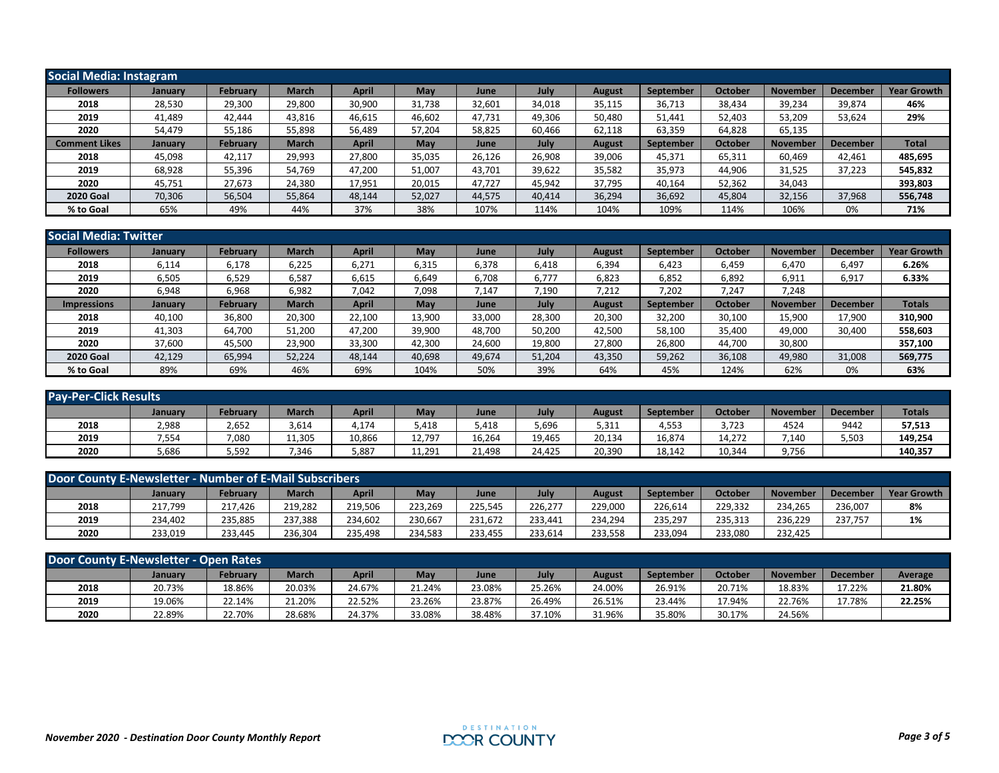| Social Media: Instagram |         |                 |              |              |        |        |             |               |           |                |                 |                 |                    |
|-------------------------|---------|-----------------|--------------|--------------|--------|--------|-------------|---------------|-----------|----------------|-----------------|-----------------|--------------------|
| <b>Followers</b>        | January | <b>February</b> | <b>March</b> | <b>April</b> | May    | June   | July        | <b>August</b> | September | October        | <b>November</b> | <b>December</b> | <b>Year Growth</b> |
| 2018                    | 28,530  | 29,300          | 29,800       | 30,900       | 31,738 | 32,601 | 34,018      | 35,115        | 36,713    | 38,434         | 39,234          | 39,874          | 46%                |
| 2019                    | 41,489  | 42,444          | 43,816       | 46,615       | 46,602 | 47,731 | 49,306      | 50,480        | 51,441    | 52,403         | 53,209          | 53,624          | 29%                |
| 2020                    | 54,479  | 55,186          | 55,898       | 56,489       | 57,204 | 58,825 | 60,466      | 62,118        | 63,359    | 64,828         | 65,135          |                 |                    |
| <b>Comment Likes</b>    | January | February        | <b>March</b> | April        | May    | June   | <b>July</b> | <b>August</b> | September | <b>October</b> | <b>November</b> | <b>December</b> | <b>Total</b>       |
| 2018                    | 45,098  | 42,117          | 29,993       | 27,800       | 35,035 | 26,126 | 26,908      | 39,006        | 45,371    | 65,311         | 60,469          | 42,461          | 485,695            |
| 2019                    | 68,928  | 55,396          | 54,769       | 47,200       | 51,007 | 43,701 | 39,622      | 35,582        | 35,973    | 44,906         | 31,525          | 37,223          | 545,832            |
| 2020                    | 45,751  | 27,673          | 24,380       | 17,951       | 20,015 | 47,727 | 45,942      | 37,795        | 40,164    | 52,362         | 34,043          |                 | 393,803            |
| <b>2020 Goal</b>        | 70,306  | 56,504          | 55,864       | 48,144       | 52,027 | 44,575 | 40,414      | 36,294        | 36,692    | 45,804         | 32,156          | 37,968          | 556,748            |
| % to Goal               | 65%     | 49%             | 44%          | 37%          | 38%    | 107%   | 114%        | 104%          | 109%      | 114%           | 106%            | 0%              | 71%                |

| <b>Social Media: Twitter</b> |                |                 |              |              |        |             |        |               |                  |         |                 |                 |                    |
|------------------------------|----------------|-----------------|--------------|--------------|--------|-------------|--------|---------------|------------------|---------|-----------------|-----------------|--------------------|
| <b>Followers</b>             | <b>January</b> | February        | <b>March</b> | <b>April</b> | May    | June        | July   | <b>August</b> | <b>September</b> | October | <b>November</b> | <b>December</b> | <b>Year Growth</b> |
| 2018                         | 6,114          | 6,178           | 6,225        | 6,271        | 6,315  | 6,378       | 6,418  | 6,394         | 6,423            | 6,459   | 6,470           | 6,497           | 6.26%              |
| 2019                         | 6,505          | 6,529           | 6,587        | 6,615        | 6,649  | 6,708       | 6,777  | 6,823         | 6,852            | 6,892   | 6,911           | 6,917           | 6.33%              |
| 2020                         | 6,948          | 6,968           | 6,982        | 7,042        | 7,098  | 7,147       | 7,190  | 7,212         | 7,202            | 7,247   | 7,248           |                 |                    |
| <b>Impressions</b>           | January        | <b>February</b> | <b>March</b> | <b>April</b> | May    | <b>June</b> | July   | <b>August</b> | September        | October | <b>November</b> | <b>December</b> | <b>Totals</b>      |
| 2018                         | 40,100         | 36,800          | 20,300       | 22,100       | 13,900 | 33,000      | 28,300 | 20,300        | 32,200           | 30,100  | 15,900          | 17,900          | 310,900            |
| 2019                         | 41,303         | 64,700          | 51,200       | 47,200       | 39,900 | 48,700      | 50,200 | 42,500        | 58,100           | 35,400  | 49,000          | 30,400          | 558,603            |
| 2020                         | 37,600         | 45,500          | 23,900       | 33,300       | 42,300 | 24,600      | 19,800 | 27,800        | 26,800           | 44,700  | 30,800          |                 | 357,100            |
| <b>2020 Goal</b>             | 42.129         | 65,994          | 52,224       | 48.144       | 40,698 | 49,674      | 51,204 | 43,350        | 59,262           | 36,108  | 49,980          | 31,008          | 569,775            |
| % to Goal                    | 89%            | 69%             | 46%          | 69%          | 104%   | 50%         | 39%    | 64%           | 45%              | 124%    | 62%             | 0%              | 63%                |

| <b>Pay-Per-Click Results</b> |         |          |              |              |        |        |        |        |           |                |                 |                 |               |
|------------------------------|---------|----------|--------------|--------------|--------|--------|--------|--------|-----------|----------------|-----------------|-----------------|---------------|
|                              | January | February | <b>March</b> | <b>April</b> | May    | June   | July   | August | September | <b>October</b> | <b>November</b> | <b>December</b> | <b>Totals</b> |
| 2018                         | 2,988   | 2,652    | 3,614        | 4,174        | 5,418  | 5,418  | 5,696  | 5,311  | 4,553     | 3,723          | 4524            | 9442            | 57,513        |
| 2019                         | 7,554   | 7,080    | 11,305       | 10,866       | 12,797 | 16,264 | 19,465 | 20,134 | 16,874    | 14,272         | 7,140           | 5,503           | 149,254       |
| 2020                         | 5,686   | 5,592    | 7,346        | 3,887        | 11,291 | 21,498 | 24,425 | 20,390 | 18,142    | 10,344         | 9,756           |                 | 140,357       |

| Door County E-Newsletter - Number of E-Mail Subscribers |                |                 |              |              |            |         |         |         |           |         |                 |                 |                    |
|---------------------------------------------------------|----------------|-----------------|--------------|--------------|------------|---------|---------|---------|-----------|---------|-----------------|-----------------|--------------------|
|                                                         | <b>January</b> | <b>February</b> | <b>March</b> | <b>April</b> | <b>May</b> | June    | July    | August  | September | October | <b>November</b> | <b>December</b> | <b>Year Growth</b> |
| 2018                                                    | 217,799        | 217.426         | 219,282      | 219,506      | 223.269    | 225,545 | 226.277 | 229.000 | 226.614   | 229.332 | 234.265         | 236,007         | 8%                 |
| 2019                                                    | 234,402        | 235,885         | 237,388      | 234,602      | 230,667    | 231,672 | 233,441 | 234,294 | 235,297   | 235,313 | 236,229         | 237.757         | 1%                 |
| 2020                                                    | 233,019        | 233,445         | 236,304      | 235.498      | 234,583    | 233,455 | 233,614 | 233,558 | 233,094   | 233,080 | 232.425         |                 |                    |

| Door County E-Newsletter - Open Rates |         |                 |              |              |        |        |        |        |                  |         |                 |                 |         |
|---------------------------------------|---------|-----------------|--------------|--------------|--------|--------|--------|--------|------------------|---------|-----------------|-----------------|---------|
|                                       | Januarv | <b>February</b> | <b>March</b> | <b>April</b> | Mav    | June   | July   | August | <b>September</b> | October | <b>November</b> | <b>December</b> | Average |
| 2018                                  | 20.73%  | 18.86%          | 20.03%       | 24.67%       | 21.24% | 23.08% | 25.26% | 24.00% | 26.91%           | 20.71%  | 18.83%          | 17.22%          | 21.80%  |
| 2019                                  | 19.06%  | 22.14%          | 21.20%       | 22.52%       | 23.26% | 23.87% | 26.49% | 26.51% | 23.44%           | 7.94%   | 22.76%          | 17.78%          | 22.25%  |
| 2020                                  | 22.89%  | 22.70%          | 28.68%       | 24.37%       | 33.08% | 38.48% | 37.10% | 31.96% | 35.80%           | 30.17%  | 24.56%          |                 |         |

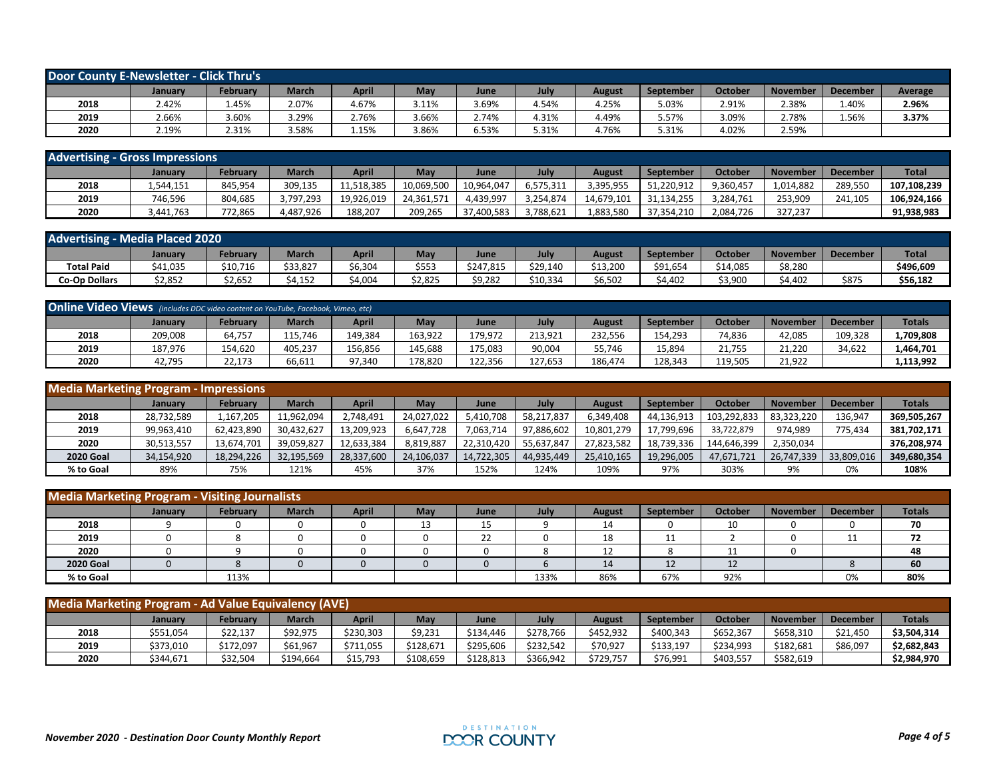| <b>Door County E-Newsletter - Click Thru's</b> |         |                 |              |              |       |       |       |        |                  |         |                 |                 |         |
|------------------------------------------------|---------|-----------------|--------------|--------------|-------|-------|-------|--------|------------------|---------|-----------------|-----------------|---------|
|                                                | January | <b>February</b> | <b>March</b> | <b>April</b> | May   | June  | July  | August | <b>September</b> | October | <b>November</b> | <b>December</b> | Average |
| 2018                                           | 2.42%   | 45%.            | 2.07%        | 4.67%        | 3.11% | 5.69% | 1.54% | 4.25%  | 5.03%            | 2.91%   | 2.38%           | 1.40%           | 2.96%   |
| 2019                                           | 2.66%   | 3.60%           | 3.29%        | 2.76%        | 3.66% | 2.74% | 4.31% | 4.49%  | 5.57%            | 3.09%   | 2.78%           | 1.56%           | 3.37%   |
| 2020                                           | 2.19%   | 2.31%           | 3.58%        | 1.15%        | 3.86% | 5.53% | 5.31% | 4.76%  | 5.31%            | 4.02%   | 2.59%           |                 |         |

| <b>Advertising - Gross Impressions</b> |           |          |              |            |            |            |           |            |            |                |                 |                 |              |
|----------------------------------------|-----------|----------|--------------|------------|------------|------------|-----------|------------|------------|----------------|-----------------|-----------------|--------------|
|                                        | January   | February | <b>March</b> | April      | <b>May</b> | June       | July      | August     | September  | <b>October</b> | <b>November</b> | <b>December</b> | <b>Total</b> |
| 2018                                   | 1.544.151 | 845.954  | 309,135      | 11.518.385 | 10,069,500 | 10.964.047 | 6,575,311 | 3.395.955  | 51,220,912 | 9.360.457      | 1.014.882       | 289.550         | 107.108.239  |
| 2019                                   | 746.596   | 804,685  | 3,797,293    | 19,926,019 | 24,361,571 | 4.439.997  | 3.254.874 | 14,679,101 | 31,134,255 | 3.284.761      | 253,909         | 241,105         | 106.924.166  |
| 2020                                   | 3,441,763 | 772,865  | 4,487,926    | 188,207    | 209,265    | 37,400,583 | 3,788,621 | 1,883,580  | 37,354,210 | 2,084,726      | 327,237         |                 | 91,938,983   |

| <b>Advertising - Media Placed 2020</b> |          |          |              |              |            |           |          |          |           |                |                 |                 |              |
|----------------------------------------|----------|----------|--------------|--------------|------------|-----------|----------|----------|-----------|----------------|-----------------|-----------------|--------------|
|                                        | Januarv  | Februar  | <b>March</b> | <b>April</b> | <b>May</b> | June      | Julv     | August   | September | <b>October</b> | <b>November</b> | <b>December</b> | <b>Total</b> |
| <b>Total Paid</b>                      | \$41,035 | \$10,716 | \$33,827     | \$6,304      | \$553      | \$247,815 | \$29,140 | \$13,200 | \$91,654  | 14,085         | \$8,280         |                 | \$496,609    |
| <b>Co-Op Dollars</b>                   | \$2,852  | \$2,652  | \$4.152      | \$4,004      | \$2,825    | \$9,282   | \$10,334 | \$6,502  | \$4,402   | \$3,900        | \$4,402         | \$875           | \$56,182     |

| <b>Online Video Views</b> (includes DDC video content on YouTube, Facebook, Vimeo, etc) |         |                 |              |              |            |         |         |         |                  |                     |          |                 |               |
|-----------------------------------------------------------------------------------------|---------|-----------------|--------------|--------------|------------|---------|---------|---------|------------------|---------------------|----------|-----------------|---------------|
|                                                                                         | Januarv | <b>February</b> | <b>March</b> | <b>April</b> | <b>May</b> | June    | July    | August  | <b>September</b> | Octobe <sub>l</sub> | November | <b>December</b> | <b>Totals</b> |
| 2018                                                                                    | 209,008 | 64,757          | 115,746      | 149,384      | 163,922    | 179,972 | 213,921 | 232.556 | 154,293          | 74,836              | 42,085   | 109,328         | L,709,808     |
| 2019                                                                                    | 187.976 | 154,620         | 405.237      | 156.856      | 145.688    | 175.083 | 90,004  | 55.746  | 15,894           | 21,755              | 21.220   | 34,622          | 1,464,701     |
| 2020                                                                                    | 42,795  | 22,173          | 66,611       | 97,340       | 178,820    | 122,356 | 127,653 | 186,474 | 128,343          | 119,505             | 21,922   |                 | 1,113,992     |

| <b>Media Marketing Program - Impressions</b> |            |                 |              |              |            |            |            |            |                  |             |                 |                 |               |
|----------------------------------------------|------------|-----------------|--------------|--------------|------------|------------|------------|------------|------------------|-------------|-----------------|-----------------|---------------|
|                                              | January    | <b>February</b> | <b>March</b> | <b>April</b> | <b>May</b> | June       | July       | August     | <b>September</b> | October     | <b>November</b> | <b>December</b> | <b>Totals</b> |
| 2018                                         | 28,732,589 | .,167,205       | 11,962,094   | 2,748,491    | 24,027,022 | 5,410,708  | 58,217,837 | 6,349,408  | 44,136,913       | 103,292,833 | 83,323,220      | 136,947         | 369,505,267   |
| 2019                                         | 99,963,410 | 62,423,890      | 30,432,627   | 13,209,923   | 6,647,728  | 7,063,714  | 97,886,602 | 10,801,279 | 17,799,696       | 33,722,879  | 974,989         | 775,434         | 381,702,171   |
| 2020                                         | 30,513,557 | 13,674,701      | 39,059,827   | 12,633,384   | 8,819,887  | 22.310.420 | 55,637,847 | 27,823,582 | 18,739,336       | 144.646.399 | 2,350,034       |                 | 376,208,974   |
| <b>2020 Goal</b>                             | 34,154,920 | 18,294,226      | 32,195,569   | 28,337,600   | 24,106,037 | 14.722.305 | 44,935,449 | 25,410,165 | 19,296,005       | 47,671,721  | 26,747,339      | 33,809,016      | 349,680,354   |
| % to Goal                                    | 89%        | 75%             | 121%         | 45%          | 37%        | 152%       | 124%       | 109%       | 97%              | 303%        | 9%              | 0%              | 108%          |

| <b>Media Marketing Program - Visiting Journalists</b> |         |          |              |       |            |      |      |               |                     |                       |                 |                 |               |
|-------------------------------------------------------|---------|----------|--------------|-------|------------|------|------|---------------|---------------------|-----------------------|-----------------|-----------------|---------------|
|                                                       | January | February | <b>March</b> | April | <b>May</b> | June | July | <b>August</b> | September           | October               | <b>November</b> | <b>December</b> | <b>Totals</b> |
| 2018                                                  |         |          |              |       |            | ᅩ    |      | 14            |                     | 10                    |                 |                 | 70            |
| 2019                                                  |         |          |              |       |            | 22   |      | 18            | --                  |                       |                 | --              | 72            |
| 2020                                                  |         |          |              |       |            |      |      | ᅩᄼ            |                     | $\overline{ }$<br>. . |                 |                 | 48            |
| <b>2020 Goal</b>                                      |         |          |              |       |            |      |      | 14            | 1 <sup>2</sup><br>ᅭ | 12                    |                 |                 | 60            |
| % to Goal                                             |         | 113%     |              |       |            |      | 133% | 86%           | 67%                 | 92%                   |                 | 0%              | 80%           |

| <b>Media Marketing Program - Ad Value Equivalency (AVE)</b> |                |           |              |              |           |           |           |           |           |                |                 |                 |               |
|-------------------------------------------------------------|----------------|-----------|--------------|--------------|-----------|-----------|-----------|-----------|-----------|----------------|-----------------|-----------------|---------------|
|                                                             | <b>January</b> | February  | <b>March</b> | <b>April</b> | May       | June      | July      | August    | September | <b>October</b> | <b>November</b> | <b>December</b> | <b>Totals</b> |
| 2018                                                        | \$551,054      | \$22,137  | \$92,975     | \$230,303    | \$9,231   | \$134.446 | \$278.766 | \$452,932 | \$400,343 | \$652,367      | \$658,310       | \$21,450        | \$3,504,314   |
| 2019                                                        | \$373,010      | \$172,097 | \$61,967     | \$711,055    | \$128,671 | \$295,606 | \$232,542 | \$70,927  | \$133,197 | \$234,993      | \$182,681       | \$86,097        | \$2,682,843   |
| 2020                                                        | \$344.671      | \$32,504  | \$194,664    | \$15,793     | \$108,659 | \$128.813 | \$366,942 | \$729,757 | \$76,991  | \$403,557      | \$582,619       |                 | \$2,984,970   |